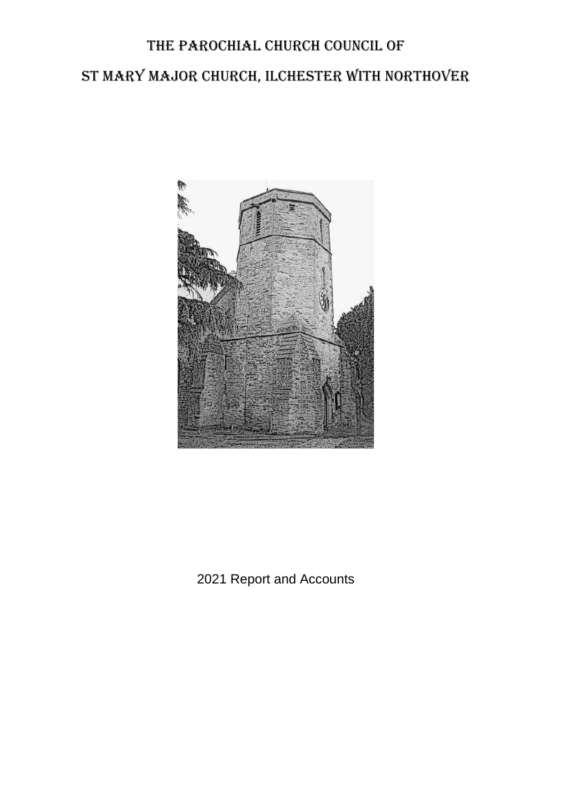# The Parochial Church Council of St Mary Major Church, Ilchester with Northover



2021 Report and Accounts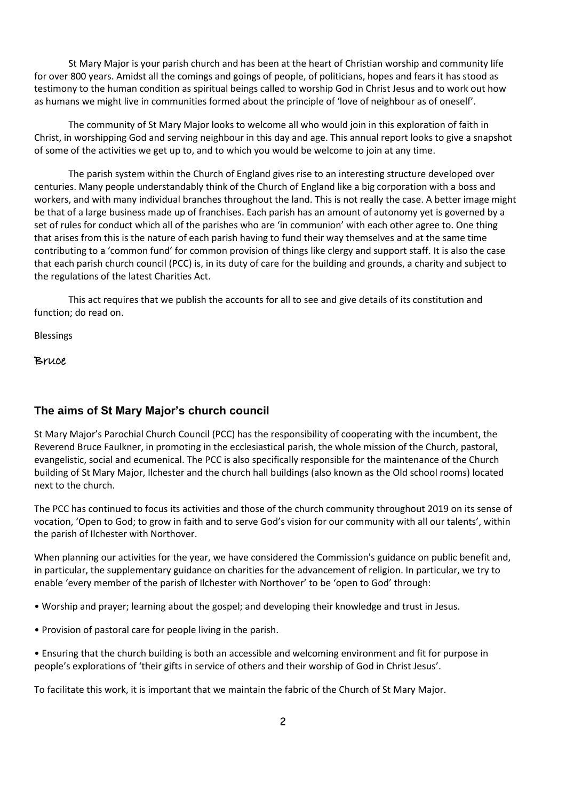St Mary Major is your parish church and has been at the heart of Christian worship and community life for over 800 years. Amidst all the comings and goings of people, of politicians, hopes and fears it has stood as testimony to the human condition as spiritual beings called to worship God in Christ Jesus and to work out how as humans we might live in communities formed about the principle of 'love of neighbour as of oneself'.

The community of St Mary Major looks to welcome all who would join in this exploration of faith in Christ, in worshipping God and serving neighbour in this day and age. This annual report looks to give a snapshot of some of the activities we get up to, and to which you would be welcome to join at any time.

The parish system within the Church of England gives rise to an interesting structure developed over centuries. Many people understandably think of the Church of England like a big corporation with a boss and workers, and with many individual branches throughout the land. This is not really the case. A better image might be that of a large business made up of franchises. Each parish has an amount of autonomy yet is governed by a set of rules for conduct which all of the parishes who are 'in communion' with each other agree to. One thing that arises from this is the nature of each parish having to fund their way themselves and at the same time contributing to a 'common fund' for common provision of things like clergy and support staff. It is also the case that each parish church council (PCC) is, in its duty of care for the building and grounds, a charity and subject to the regulations of the latest Charities Act.

This act requires that we publish the accounts for all to see and give details of its constitution and function; do read on.

Blessings

Bruce

#### **The aims of St Mary Major's church council**

St Mary Major's Parochial Church Council (PCC) has the responsibility of cooperating with the incumbent, the Reverend Bruce Faulkner, in promoting in the ecclesiastical parish, the whole mission of the Church, pastoral, evangelistic, social and ecumenical. The PCC is also specifically responsible for the maintenance of the Church building of St Mary Major, Ilchester and the church hall buildings (also known as the Old school rooms) located next to the church.

The PCC has continued to focus its activities and those of the church community throughout 2019 on its sense of vocation, 'Open to God; to grow in faith and to serve God's vision for our community with all our talents', within the parish of Ilchester with Northover.

When planning our activities for the year, we have considered the Commission's guidance on public benefit and, in particular, the supplementary guidance on charities for the advancement of religion. In particular, we try to enable 'every member of the parish of Ilchester with Northover' to be 'open to God' through:

- Worship and prayer; learning about the gospel; and developing their knowledge and trust in Jesus.
- Provision of pastoral care for people living in the parish.
- Ensuring that the church building is both an accessible and welcoming environment and fit for purpose in people's explorations of 'their gifts in service of others and their worship of God in Christ Jesus'.

To facilitate this work, it is important that we maintain the fabric of the Church of St Mary Major.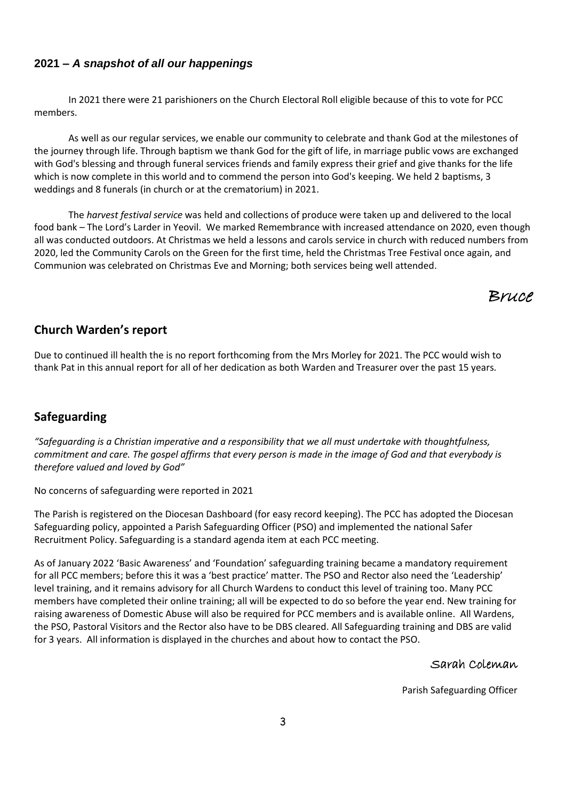#### **2021 –** *A snapshot of all our happenings*

In 2021 there were 21 parishioners on the Church Electoral Roll eligible because of this to vote for PCC members.

As well as our regular services, we enable our community to celebrate and thank God at the milestones of the journey through life. Through baptism we thank God for the gift of life, in marriage public vows are exchanged with God's blessing and through funeral services friends and family express their grief and give thanks for the life which is now complete in this world and to commend the person into God's keeping. We held 2 baptisms, 3 weddings and 8 funerals (in church or at the crematorium) in 2021.

The *harvest festival service* was held and collections of produce were taken up and delivered to the local food bank – The Lord's Larder in Yeovil. We marked Remembrance with increased attendance on 2020, even though all was conducted outdoors. At Christmas we held a lessons and carols service in church with reduced numbers from 2020, led the Community Carols on the Green for the first time, held the Christmas Tree Festival once again, and Communion was celebrated on Christmas Eve and Morning; both services being well attended.

# Bruce

## **Church Warden's report**

Due to continued ill health the is no report forthcoming from the Mrs Morley for 2021. The PCC would wish to thank Pat in this annual report for all of her dedication as both Warden and Treasurer over the past 15 years.

### **Safeguarding**

*"Safeguarding is a Christian imperative and a responsibility that we all must undertake with thoughtfulness, commitment and care. The gospel affirms that every person is made in the image of God and that everybody is therefore valued and loved by God"* 

No concerns of safeguarding were reported in 2021

The Parish is registered on the Diocesan Dashboard (for easy record keeping). The PCC has adopted the Diocesan Safeguarding policy, appointed a Parish Safeguarding Officer (PSO) and implemented the national Safer Recruitment Policy. Safeguarding is a standard agenda item at each PCC meeting.

As of January 2022 'Basic Awareness' and 'Foundation' safeguarding training became a mandatory requirement for all PCC members; before this it was a 'best practice' matter. The PSO and Rector also need the 'Leadership' level training, and it remains advisory for all Church Wardens to conduct this level of training too. Many PCC members have completed their online training; all will be expected to do so before the year end. New training for raising awareness of Domestic Abuse will also be required for PCC members and is available online. All Wardens, the PSO, Pastoral Visitors and the Rector also have to be DBS cleared. All Safeguarding training and DBS are valid for 3 years. All information is displayed in the churches and about how to contact the PSO.

#### Sarah Coleman

Parish Safeguarding Officer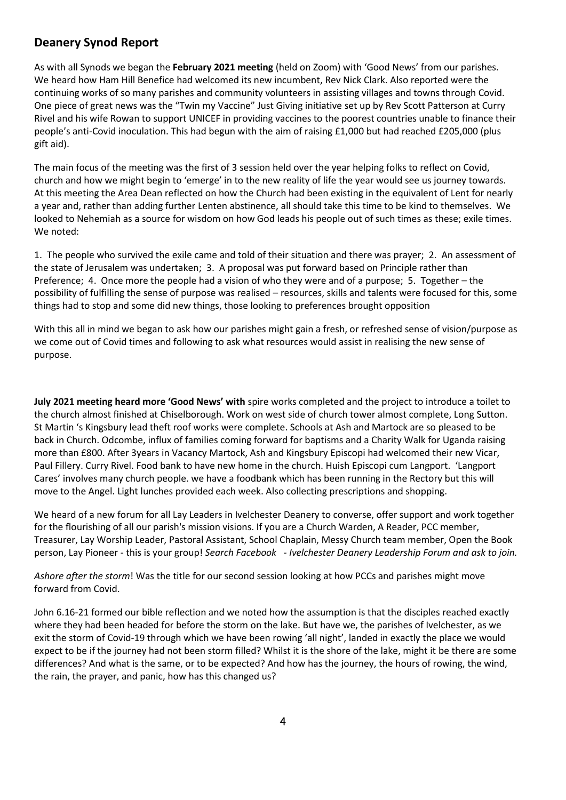# **Deanery Synod Report**

As with all Synods we began the **February 2021 meeting** (held on Zoom) with 'Good News' from our parishes. We heard how Ham Hill Benefice had welcomed its new incumbent, Rev Nick Clark. Also reported were the continuing works of so many parishes and community volunteers in assisting villages and towns through Covid. One piece of great news was the "Twin my Vaccine" Just Giving initiative set up by Rev Scott Patterson at Curry Rivel and his wife Rowan to support UNICEF in providing vaccines to the poorest countries unable to finance their people's anti-Covid inoculation. This had begun with the aim of raising £1,000 but had reached £205,000 (plus gift aid).

The main focus of the meeting was the first of 3 session held over the year helping folks to reflect on Covid, church and how we might begin to 'emerge' in to the new reality of life the year would see us journey towards. At this meeting the Area Dean reflected on how the Church had been existing in the equivalent of Lent for nearly a year and, rather than adding further Lenten abstinence, all should take this time to be kind to themselves. We looked to Nehemiah as a source for wisdom on how God leads his people out of such times as these; exile times. We noted:

1. The people who survived the exile came and told of their situation and there was prayer; 2. An assessment of the state of Jerusalem was undertaken; 3. A proposal was put forward based on Principle rather than Preference; 4. Once more the people had a vision of who they were and of a purpose; 5. Together – the possibility of fulfilling the sense of purpose was realised – resources, skills and talents were focused for this, some things had to stop and some did new things, those looking to preferences brought opposition

With this all in mind we began to ask how our parishes might gain a fresh, or refreshed sense of vision/purpose as we come out of Covid times and following to ask what resources would assist in realising the new sense of purpose.

**July 2021 meeting heard more 'Good News' with** spire works completed and the project to introduce a toilet to the church almost finished at Chiselborough. Work on west side of church tower almost complete, Long Sutton. St Martin 's Kingsbury lead theft roof works were complete. Schools at Ash and Martock are so pleased to be back in Church. Odcombe, influx of families coming forward for baptisms and a Charity Walk for Uganda raising more than £800. After 3years in Vacancy Martock, Ash and Kingsbury Episcopi had welcomed their new Vicar, Paul Fillery. Curry Rivel. Food bank to have new home in the church. Huish Episcopi cum Langport. 'Langport Cares' involves many church people. we have a foodbank which has been running in the Rectory but this will move to the Angel. Light lunches provided each week. Also collecting prescriptions and shopping.

We heard of a new forum for all Lay Leaders in Ivelchester Deanery to converse, offer support and work together for the flourishing of all our parish's mission visions. If you are a Church Warden, A Reader, PCC member, Treasurer, Lay Worship Leader, Pastoral Assistant, School Chaplain, Messy Church team member, Open the Book person, Lay Pioneer - this is your group! *Search Facebook - Ivelchester Deanery Leadership Forum and ask to join.*

*Ashore after the storm*! Was the title for our second session looking at how PCCs and parishes might move forward from Covid.

John 6.16-21 formed our bible reflection and we noted how the assumption is that the disciples reached exactly where they had been headed for before the storm on the lake. But have we, the parishes of Ivelchester, as we exit the storm of Covid-19 through which we have been rowing 'all night', landed in exactly the place we would expect to be if the journey had not been storm filled? Whilst it is the shore of the lake, might it be there are some differences? And what is the same, or to be expected? And how has the journey, the hours of rowing, the wind, the rain, the prayer, and panic, how has this changed us?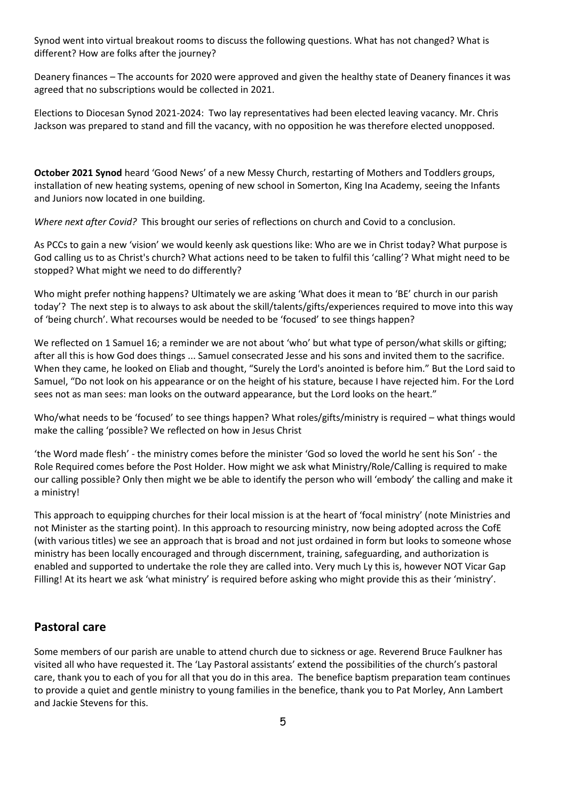Synod went into virtual breakout rooms to discuss the following questions. What has not changed? What is different? How are folks after the journey?

Deanery finances – The accounts for 2020 were approved and given the healthy state of Deanery finances it was agreed that no subscriptions would be collected in 2021.

Elections to Diocesan Synod 2021-2024: Two lay representatives had been elected leaving vacancy. Mr. Chris Jackson was prepared to stand and fill the vacancy, with no opposition he was therefore elected unopposed.

**October 2021 Synod** heard 'Good News' of a new Messy Church, restarting of Mothers and Toddlers groups, installation of new heating systems, opening of new school in Somerton, King Ina Academy, seeing the Infants and Juniors now located in one building.

*Where next after Covid?* This brought our series of reflections on church and Covid to a conclusion.

As PCCs to gain a new 'vision' we would keenly ask questions like: Who are we in Christ today? What purpose is God calling us to as Christ's church? What actions need to be taken to fulfil this 'calling'? What might need to be stopped? What might we need to do differently?

Who might prefer nothing happens? Ultimately we are asking 'What does it mean to 'BE' church in our parish today'? The next step is to always to ask about the skill/talents/gifts/experiences required to move into this way of 'being church'. What recourses would be needed to be 'focused' to see things happen?

We reflected on 1 Samuel 16; a reminder we are not about 'who' but what type of person/what skills or gifting; after all this is how God does things ... Samuel consecrated Jesse and his sons and invited them to the sacrifice. When they came, he looked on Eliab and thought, "Surely the Lord's anointed is before him." But the Lord said to Samuel, "Do not look on his appearance or on the height of his stature, because I have rejected him. For the Lord sees not as man sees: man looks on the outward appearance, but the Lord looks on the heart."

Who/what needs to be 'focused' to see things happen? What roles/gifts/ministry is required – what things would make the calling 'possible? We reflected on how in Jesus Christ

'the Word made flesh' - the ministry comes before the minister 'God so loved the world he sent his Son' - the Role Required comes before the Post Holder. How might we ask what Ministry/Role/Calling is required to make our calling possible? Only then might we be able to identify the person who will 'embody' the calling and make it a ministry!

This approach to equipping churches for their local mission is at the heart of 'focal ministry' (note Ministries and not Minister as the starting point). In this approach to resourcing ministry, now being adopted across the CofE (with various titles) we see an approach that is broad and not just ordained in form but looks to someone whose ministry has been locally encouraged and through discernment, training, safeguarding, and authorization is enabled and supported to undertake the role they are called into. Very much Ly this is, however NOT Vicar Gap Filling! At its heart we ask 'what ministry' is required before asking who might provide this as their 'ministry'.

# **Pastoral care**

Some members of our parish are unable to attend church due to sickness or age. Reverend Bruce Faulkner has visited all who have requested it. The 'Lay Pastoral assistants' extend the possibilities of the church's pastoral care, thank you to each of you for all that you do in this area. The benefice baptism preparation team continues to provide a quiet and gentle ministry to young families in the benefice, thank you to Pat Morley, Ann Lambert and Jackie Stevens for this.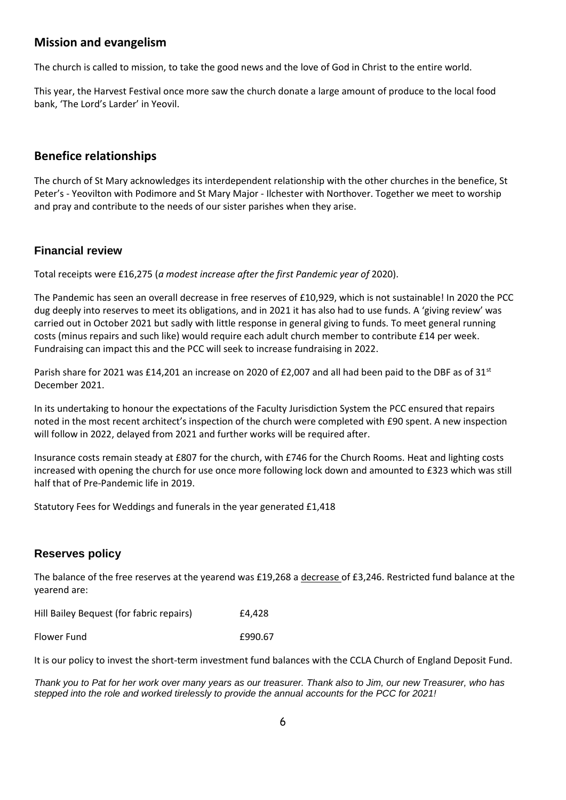# **Mission and evangelism**

The church is called to mission, to take the good news and the love of God in Christ to the entire world.

This year, the Harvest Festival once more saw the church donate a large amount of produce to the local food bank, 'The Lord's Larder' in Yeovil.

## **Benefice relationships**

The church of St Mary acknowledges its interdependent relationship with the other churches in the benefice, St Peter's - Yeovilton with Podimore and St Mary Major - Ilchester with Northover. Together we meet to worship and pray and contribute to the needs of our sister parishes when they arise.

#### **Financial review**

Total receipts were £16,275 (*a modest increase after the first Pandemic year of* 2020).

The Pandemic has seen an overall decrease in free reserves of £10,929, which is not sustainable! In 2020 the PCC dug deeply into reserves to meet its obligations, and in 2021 it has also had to use funds. A 'giving review' was carried out in October 2021 but sadly with little response in general giving to funds. To meet general running costs (minus repairs and such like) would require each adult church member to contribute £14 per week. Fundraising can impact this and the PCC will seek to increase fundraising in 2022.

Parish share for 2021 was £14,201 an increase on 2020 of £2,007 and all had been paid to the DBF as of 31<sup>st</sup> December 2021.

In its undertaking to honour the expectations of the Faculty Jurisdiction System the PCC ensured that repairs noted in the most recent architect's inspection of the church were completed with £90 spent. A new inspection will follow in 2022, delayed from 2021 and further works will be required after.

Insurance costs remain steady at £807 for the church, with £746 for the Church Rooms. Heat and lighting costs increased with opening the church for use once more following lock down and amounted to £323 which was still half that of Pre-Pandemic life in 2019.

Statutory Fees for Weddings and funerals in the year generated £1,418

### **Reserves policy**

The balance of the free reserves at the yearend was £19,268 a decrease of £3,246. Restricted fund balance at the yearend are:

Hill Bailey Bequest (for fabric repairs) E4,428

Flower Fund **E990.67** 

It is our policy to invest the short-term investment fund balances with the CCLA Church of England Deposit Fund.

*Thank you to Pat for her work over many years as our treasurer. Thank also to Jim, our new Treasurer, who has stepped into the role and worked tirelessly to provide the annual accounts for the PCC for 2021!*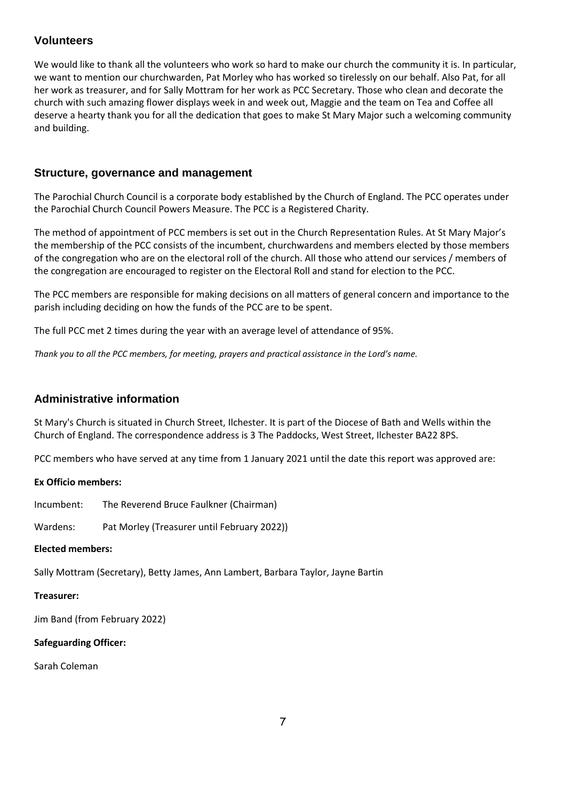## **Volunteers**

We would like to thank all the volunteers who work so hard to make our church the community it is. In particular, we want to mention our churchwarden, Pat Morley who has worked so tirelessly on our behalf. Also Pat, for all her work as treasurer, and for Sally Mottram for her work as PCC Secretary. Those who clean and decorate the church with such amazing flower displays week in and week out, Maggie and the team on Tea and Coffee all deserve a hearty thank you for all the dedication that goes to make St Mary Major such a welcoming community and building.

#### **Structure, governance and management**

The Parochial Church Council is a corporate body established by the Church of England. The PCC operates under the Parochial Church Council Powers Measure. The PCC is a Registered Charity.

The method of appointment of PCC members is set out in the Church Representation Rules. At St Mary Major's the membership of the PCC consists of the incumbent, churchwardens and members elected by those members of the congregation who are on the electoral roll of the church. All those who attend our services / members of the congregation are encouraged to register on the Electoral Roll and stand for election to the PCC.

The PCC members are responsible for making decisions on all matters of general concern and importance to the parish including deciding on how the funds of the PCC are to be spent.

The full PCC met 2 times during the year with an average level of attendance of 95%.

*Thank you to all the PCC members, for meeting, prayers and practical assistance in the Lord's name.*

#### **Administrative information**

St Mary's Church is situated in Church Street, Ilchester. It is part of the Diocese of Bath and Wells within the Church of England. The correspondence address is 3 The Paddocks, West Street, Ilchester BA22 8PS.

PCC members who have served at any time from 1 January 2021 until the date this report was approved are:

#### **Ex Officio members:**

Incumbent: The Reverend Bruce Faulkner (Chairman)

Wardens: Pat Morley (Treasurer until February 2022))

#### **Elected members:**

Sally Mottram (Secretary), Betty James, Ann Lambert, Barbara Taylor, Jayne Bartin

#### **Treasurer:**

Jim Band (from February 2022)

#### **Safeguarding Officer:**

Sarah Coleman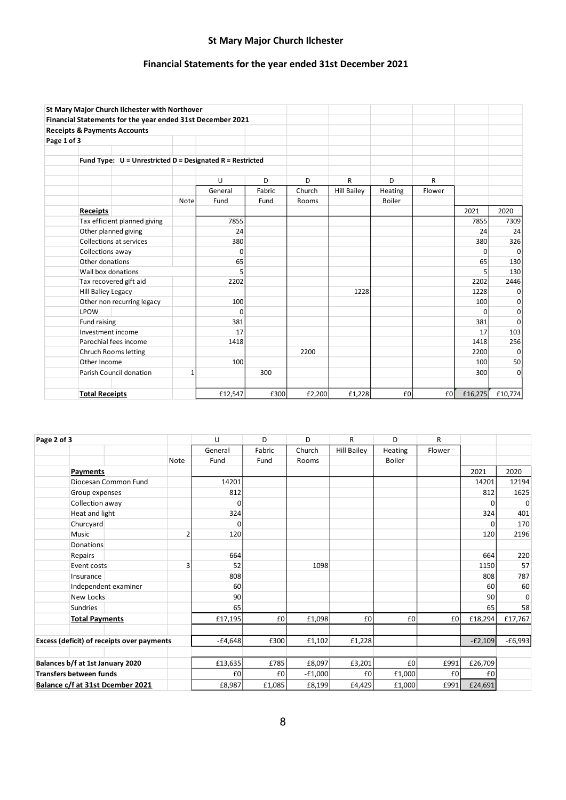# **St Mary Major Church Ilchester**

# **Financial Statements for the year ended 31st December 2021**

|             | St Mary Major Church Ilchester with Northover                 |      |          |        |        |                    |         |        |              |             |
|-------------|---------------------------------------------------------------|------|----------|--------|--------|--------------------|---------|--------|--------------|-------------|
|             | Financial Statements for the year ended 31st December 2021    |      |          |        |        |                    |         |        |              |             |
|             | <b>Receipts &amp; Payments Accounts</b>                       |      |          |        |        |                    |         |        |              |             |
| Page 1 of 3 |                                                               |      |          |        |        |                    |         |        |              |             |
|             |                                                               |      |          |        |        |                    |         |        |              |             |
|             | Fund Type: $U =$ Unrestricted $D =$ Designated R = Restricted |      |          |        |        |                    |         |        |              |             |
|             |                                                               |      |          |        |        |                    |         |        |              |             |
|             |                                                               |      | $\cup$   | D      | D      | R                  | D       | R      |              |             |
|             |                                                               |      | General  | Fabric | Church | <b>Hill Bailey</b> | Heating | Flower |              |             |
|             |                                                               | Note | Fund     | Fund   | Rooms  |                    | Boiler  |        |              |             |
|             | Receipts                                                      |      |          |        |        |                    |         |        | 2021         | 2020        |
|             | Tax efficient planned giving                                  |      | 7855     |        |        |                    |         |        | 7855         | 7309        |
|             | Other planned giving                                          |      | 24       |        |        |                    |         |        | 24           | 24          |
|             | Collections at services                                       |      | 380      |        |        |                    |         |        | 380          | 326         |
|             | Collections away                                              |      | 0        |        |        |                    |         |        | <sup>0</sup> | $\mathbf 0$ |
|             | Other donations                                               |      | 65       |        |        |                    |         |        | 65           | 130         |
|             | Wall box donations                                            |      | 5        |        |        |                    |         |        | 5            | 130         |
|             | Tax recovered gift aid                                        |      | 2202     |        |        |                    |         |        | 2202         | 2446        |
|             | <b>Hill Baliey Legacy</b>                                     |      |          |        |        | 1228               |         |        | 1228         | $\mathbf 0$ |
|             | Other non recurring legacy                                    |      | 100      |        |        |                    |         |        | 100          | 0           |
|             | LPOW                                                          |      | $\Omega$ |        |        |                    |         |        | 0            | 0           |
|             | Fund raising                                                  |      | 381      |        |        |                    |         |        | 381          | 0           |
|             | Investment income                                             |      | 17       |        |        |                    |         |        | 17           | 103         |
|             | Parochial fees income                                         |      | 1418     |        |        |                    |         |        | 1418         | 256         |
|             | <b>Chruch Rooms letting</b>                                   |      |          |        | 2200   |                    |         |        | 2200         | $\Omega$    |
|             | Other Income                                                  |      | 100      |        |        |                    |         |        | 100          | 50          |
|             | Parish Council donation<br>1                                  |      |          | 300    |        |                    |         |        | 300          | 0           |
|             |                                                               |      |          |        |        |                    |         |        |              |             |
|             | <b>Total Receipts</b>                                         |      | £12,547  | £300   | £2,200 | £1,228             | £0      | £0     | £16,275      | £10,774     |

| Page 2 of 3                                       |                       |                      | U              | D        | D         | R      | D                  | R              |           |          |         |
|---------------------------------------------------|-----------------------|----------------------|----------------|----------|-----------|--------|--------------------|----------------|-----------|----------|---------|
|                                                   |                       |                      |                | General  | Fabric    | Church | <b>Hill Bailey</b> | <b>Heating</b> | Flower    |          |         |
|                                                   |                       |                      | Note           | Fund     | Fund      | Rooms  |                    | Boiler         |           |          |         |
|                                                   | Payments              |                      |                |          |           |        |                    |                |           | 2021     | 2020    |
|                                                   |                       | Diocesan Common Fund |                | 14201    |           |        |                    |                |           | 14201    | 12194   |
| Group expenses                                    |                       |                      | 812            |          |           |        |                    |                | 812       | 1625     |         |
|                                                   | Collection away       |                      |                | $\Omega$ |           |        |                    |                |           | $\Omega$ | 0       |
|                                                   | Heat and light        |                      |                | 324      |           |        |                    |                |           | 324      | 401     |
|                                                   | Churcyard             |                      |                | $\Omega$ |           |        |                    |                |           | O        | 170     |
|                                                   | <b>Music</b>          |                      | $\overline{2}$ | 120      |           |        |                    |                |           | 120      | 2196    |
|                                                   | Donations             |                      |                |          |           |        |                    |                |           |          |         |
|                                                   | Repairs               |                      |                | 664      |           |        |                    |                |           | 664      | 220     |
|                                                   | Event costs           |                      | 3              | 52       |           | 1098   |                    |                |           | 1150     | 57      |
|                                                   | Insurance             |                      |                | 808      |           |        |                    |                |           | 808      | 787     |
|                                                   |                       | Independent examiner |                | 60       |           |        |                    |                |           | 60       | 60      |
| <b>New Locks</b>                                  |                       |                      | 90             |          |           |        |                    |                | 90        | 0        |         |
|                                                   | <b>Sundries</b>       |                      |                | 65       |           |        |                    |                |           | 65       | 58      |
|                                                   | <b>Total Payments</b> |                      |                | £17,195  | £0        | £1,098 | £0                 | £0             | £0        | £18,294  | £17,767 |
|                                                   |                       |                      |                |          |           |        |                    |                |           |          |         |
| <b>Excess (deficit) of receipts over payments</b> |                       | $-£4,648$            | £300           | £1,102   | £1,228    |        |                    | $-E2,109$      | $-£6,993$ |          |         |
|                                                   |                       |                      |                |          |           |        |                    |                |           |          |         |
| Balances b/f at 1st January 2020                  |                       | £13,635              | £785           | £8,097   | £3,201    | £0     | £991               | £26,709        |           |          |         |
| <b>Transfers between funds</b>                    |                       |                      | £0             | £0       | $-E1,000$ | £0     | £1,000             | £0             | £0        |          |         |
| Balance c/f at 31st Dcember 2021                  |                       |                      |                | £8,987   | £1,085    | £8,199 | £4,429             | £1,000         | £991      | £24,691  |         |